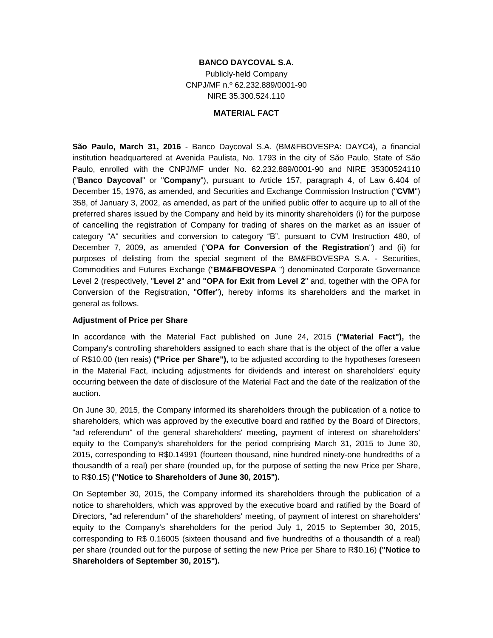## **BANCO DAYCOVAL S.A.**

Publicly-held Company CNPJ/MF n.º 62.232.889/0001-90 NIRE 35.300.524.110

## **MATERIAL FACT**

**São Paulo, March 31, 2016** - Banco Daycoval S.A. (BM&FBOVESPA: DAYC4), a financial institution headquartered at Avenida Paulista, No. 1793 in the city of São Paulo, State of São Paulo, enrolled with the CNPJ/MF under No. 62.232.889/0001-90 and NIRE 35300524110 ("**Banco Daycoval**" or "**Company**"), pursuant to Article 157, paragraph 4, of Law 6.404 of December 15, 1976, as amended, and Securities and Exchange Commission Instruction ("**CVM**") 358, of January 3, 2002, as amended, as part of the unified public offer to acquire up to all of the preferred shares issued by the Company and held by its minority shareholders (i) for the purpose of cancelling the registration of Company for trading of shares on the market as an issuer of category "A" securities and conversion to category "B", pursuant to CVM Instruction 480, of December 7, 2009, as amended ("**OPA for Conversion of the Registration**") and (ii) for purposes of delisting from the special segment of the BM&FBOVESPA S.A. - Securities, Commodities and Futures Exchange ("**BM&FBOVESPA** ") denominated Corporate Governance Level 2 (respectively, "**Level 2**" and **"OPA for Exit from Level 2**" and, together with the OPA for Conversion of the Registration, "**Offer**"), hereby informs its shareholders and the market in general as follows.

## **Adjustment of Price per Share**

In accordance with the Material Fact published on June 24, 2015 **("Material Fact"),** the Company's controlling shareholders assigned to each share that is the object of the offer a value of R\$10.00 (ten reais) **("Price per Share"),** to be adjusted according to the hypotheses foreseen in the Material Fact, including adjustments for dividends and interest on shareholders' equity occurring between the date of disclosure of the Material Fact and the date of the realization of the auction.

On June 30, 2015, the Company informed its shareholders through the publication of a notice to shareholders, which was approved by the executive board and ratified by the Board of Directors, "ad referendum" of the general shareholders' meeting, payment of interest on shareholders' equity to the Company's shareholders for the period comprising March 31, 2015 to June 30, 2015, corresponding to R\$0.14991 (fourteen thousand, nine hundred ninety-one hundredths of a thousandth of a real) per share (rounded up, for the purpose of setting the new Price per Share, to R\$0.15) **("Notice to Shareholders of June 30, 2015").**

On September 30, 2015, the Company informed its shareholders through the publication of a notice to shareholders, which was approved by the executive board and ratified by the Board of Directors, "ad referendum" of the shareholders' meeting, of payment of interest on shareholders' equity to the Company's shareholders for the period July 1, 2015 to September 30, 2015, corresponding to R\$ 0.16005 (sixteen thousand and five hundredths of a thousandth of a real) per share (rounded out for the purpose of setting the new Price per Share to R\$0.16) **("Notice to Shareholders of September 30, 2015").**